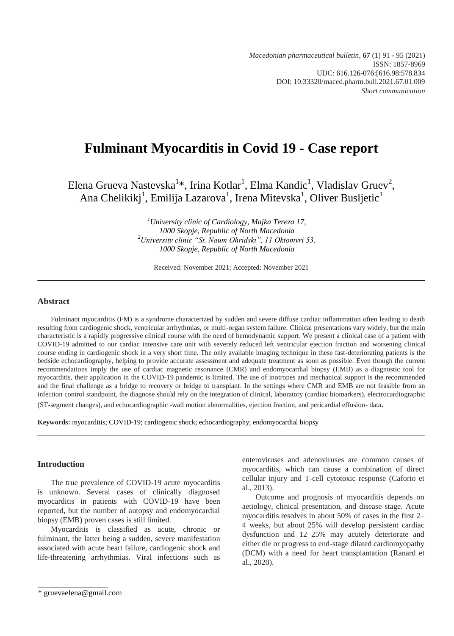*Macedonian pharmaceutical bulletin*, **67** (1) 91 - 95 (2021) ISSN: 1857-8969 UDC: 616.126-076:[616.98:578.834 DOI: 10.33320/maced.pharm.bull.2021.67.01.009 *Short communication*

## **Fulminant Myocarditis in Covid 19 - Case report**

Elena Grueva Nastevska $^{1*}$ , Irina Kotlar<sup>1</sup>, Elma Kandic<sup>1</sup>, Vladislav Gruev<sup>2</sup>, Ana Chelikikj<sup>1</sup>, Emilija Lazarova<sup>1</sup>, Irena Mitevska<sup>1</sup>, Oliver Busljetic<sup>1</sup>

> *<sup>1</sup>University clinic of Cardiology, Majka Tereza 17, 1000 Skopje, Republic of North Macedonia <sup>2</sup>University clinic "St. Naum Ohridski", 11 Oktomvri 53, 1000 Skopje, Republic of North Macedonia*

Received: November 2021; Accepted: November 2021

## **Abstract**

Fulminant myocarditis (FM) is a syndrome characterized by sudden and severe diffuse cardiac inflammation often leading to death resulting from cardiogenic shock, ventricular arrhythmias, or multi-organ system failure. Clinical presentations vary widely, but the main characteristic is a rapidly progressive clinical course with the need of hemodynamic support. We present a clinical case of a patient with COVID-19 admitted to our cardiac intensive care unit with severely reduced left ventricular ejection fraction and worsening clinical course ending in cardiogenic shock in a very short time. The only available imaging technique in these fast-deteriorating patients is the bedside echocardiography, helping to provide accurate assessment and adequate treatment as soon as possible. Even though the current recommendations imply the use of cardiac magnetic resonance (CMR) and endomyocardial biopsy (EMB) as a diagnostic tool for myocarditis, their application in the COVID-19 pandemic is limited. The use of inotropes and mechanical support is the recommended and the final challenge as a bridge to recovery or bridge to transplant. In the settings where CMR and EMB are not feasible from an infection control standpoint, the diagnose should rely on the integration of clinical, laboratory (cardiac biomarkers), electrocardiographic (ST-segment changes), and echocardiographic -wall motion abnormalities, ejection fraction, and pericardial effusion- data.

**Keywords:** myocarditis; COVID-19; cardiogenic shock; echocardiography; endomyocardial biopsy

## **Introduction**

The true prevalence of COVID-19 acute myocarditis is unknown. Several cases of clinically diagnosed myocarditis in patients with COVID-19 have been reported, but the number of autopsy and endomyocardial biopsy (EMB) proven cases is still limited.

Myocarditis is classified as acute, chronic or fulminant, the latter being a sudden, severe manifestation associated with acute heart failure, cardiogenic shock and life-threatening arrhythmias. Viral infections such as

\* [gruevaelena@gmail.com](mailto:gruevaelena@gmail.com)

\_\_\_\_\_\_\_\_\_\_\_\_\_\_\_\_\_\_

enteroviruses and adenoviruses are common causes of myocarditis, which can cause a combination of direct cellular injury and T-cell cytotoxic response (Caforio et al., 2013).

Outcome and prognosis of myocarditis depends on aetiology, clinical presentation, and disease stage. Acute myocarditis resolves in about 50% of cases in the first 2– 4 weeks, but about 25% will develop persistent cardiac dysfunction and 12–25% may acutely deteriorate and either die or progress to end-stage dilated cardiomyopathy (DCM) with a need for heart transplantation [\(Ranard](https://pubmed.ncbi.nlm.nih.gov/?term=Ranard+LS&cauthor_id=32500721) et al., 2020).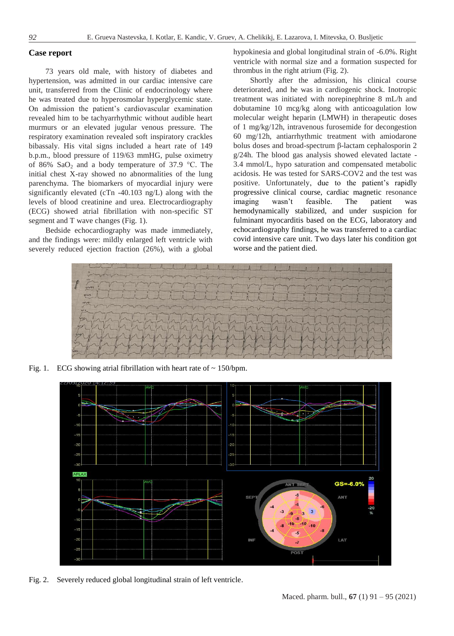## **Case report**

73 years old male, with history of diabetes and hypertension, was admitted in our cardiac intensive care unit, transferred from the Clinic of endocrinology where he was treated due to hyperosmolar hyperglycemic state. On admission the patient's cardiovascular examination revealed him to be tachyarrhythmic without audible heart murmurs or an elevated jugular venous pressure. The respiratory examination revealed soft inspiratory crackles bibassaly. His vital signs included a heart rate of 149 b.p.m., blood pressure of 119/63 mmHG, pulse oximetry of 86% SaO<sub>2</sub> and a body temperature of 37.9 °C. The initial chest X-ray showed no abnormalities of the lung parenchyma. The biomarkers of myocardial injury were significantly elevated (cTn -40.103 ng/L) along with the levels of blood creatinine and urea. Electrocardiography (ECG) showed atrial fibrillation with non-specific ST segment and T wave changes (Fig. 1).

Bedside echocardiography was made immediately, and the findings were: mildly enlarged left ventricle with severely reduced ejection fraction (26%), with a global hypokinesia and global longitudinal strain of -6.0%. Right ventricle with normal size and a formation suspected for thrombus in the right atrium (Fig. 2).

Shortly after the admission, his clinical course deteriorated, and he was in cardiogenic shock. Inotropic treatment was initiated with norepinephrine 8 mL/h and dobutamine 10 mcg/kg along with anticoagulation low molecular weight heparin (LMWH) in therapeutic doses of 1 mg/kg/12h, intravenous furosemide for decongestion 60 mg/12h, antiarrhythmic treatment with amiodarone bolus doses and broad-spectrum β-lactam cephalosporin 2 g/24h. The blood gas analysis showed elevated lactate - 3.4 mmol/L, hypo saturation and compensated metabolic acidosis. He was tested for SARS-COV2 and the test was positive. Unfortunately, due to the patient's rapidly progressive clinical course, cardiac magnetic resonance imaging wasn't feasible. The patient was hemodynamically stabilized, and under suspicion for fulminant myocarditis based on the ECG, laboratory and echocardiography findings, he was transferred to a cardiac covid intensive care unit. Two days later his condition got worse and the patient died.



Fig. 1. ECG showing atrial fibrillation with heart rate of  $\sim 150$ /bpm.



Fig. 2. Severely reduced global longitudinal strain of left ventricle.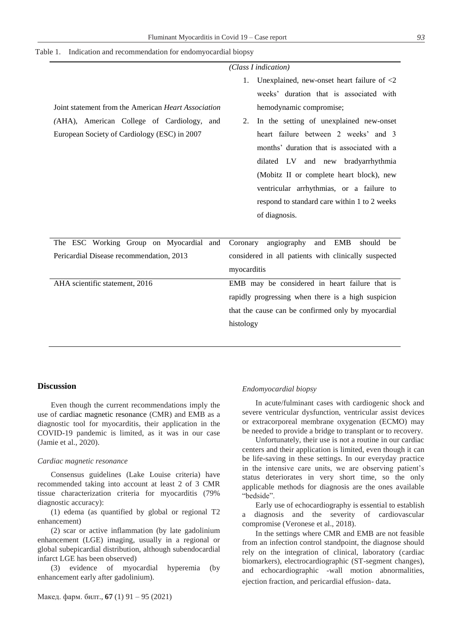|                                                     | (Class I indication)                                              |
|-----------------------------------------------------|-------------------------------------------------------------------|
|                                                     | Unexplained, new-onset heart failure of $\langle 2 \rangle$<br>1. |
|                                                     | weeks' duration that is associated with                           |
| Joint statement from the American Heart Association | hemodynamic compromise;                                           |
| (AHA), American College of Cardiology, and          | In the setting of unexplained new-onset<br>2.                     |
| European Society of Cardiology (ESC) in 2007        | heart failure between 2 weeks' and 3                              |
|                                                     | months' duration that is associated with a                        |
|                                                     | dilated LV and new bradyarrhythmia                                |
|                                                     | (Mobitz II or complete heart block), new                          |
|                                                     | ventricular arrhythmias, or a failure to                          |
|                                                     | respond to standard care within 1 to 2 weeks                      |
|                                                     | of diagnosis.                                                     |
|                                                     |                                                                   |
| The ESC Working Group on Myocardial and             | angiography<br><b>EMB</b><br>Coronary<br>and<br>should<br>be      |
| Pericardial Disease recommendation, 2013            | considered in all patients with clinically suspected              |
|                                                     | myocarditis                                                       |
| AHA scientific statement, 2016                      | EMB may be considered in heart failure that is                    |
|                                                     | rapidly progressing when there is a high suspicion                |
|                                                     | that the cause can be confirmed only by myocardial                |
|                                                     | histology                                                         |
|                                                     |                                                                   |

Table 1. Indication and recommendation for endomyocardial biopsy

### **Discussion**

Even though the current recommendations imply the use of cardiac magnetic resonance (CMR) and EMB as a diagnostic tool for myocarditis, their application in the COVID-19 pandemic is limited, as it was in our case (Jamie et al., 2020).

#### *Cardiac magnetic resonance*

Consensus guidelines (Lake Louise criteria) have recommended taking into account at least 2 of 3 CMR tissue characterization criteria for myocarditis (79% diagnostic accuracy):

(1) edema (as quantified by global or regional T2 enhancement)

(2) scar or active inflammation (by late gadolinium enhancement (LGE) imaging, usually in a regional or global subepicardial distribution, although subendocardial infarct LGE has been observed)

(3) evidence of myocardial hyperemia (by enhancement early after gadolinium).

## *Endomyocardial biopsy*

In acute/fulminant cases with cardiogenic shock and severe ventricular dysfunction, ventricular assist devices or extracorporeal membrane oxygenation (ECMO) may be needed to provide a bridge to transplant or to recovery.

Unfortunately, their use is not a routine in our cardiac centers and their application is limited, even though it can be life-saving in these settings. In our everyday practice in the intensive care units, we are observing patient's status deteriorates in very short time, so the only applicable methods for diagnosis are the ones available "bedside".

Early use of echocardiography is essential to establish a diagnosis and the severity of cardiovascular compromise (Veronese et al., 2018).

In the settings where CMR and EMB are not feasible from an infection control standpoint, the diagnose should rely on the integration of clinical, laboratory (cardiac biomarkers), electrocardiographic (ST-segment changes), and echocardiographic -wall motion abnormalities, ejection fraction, and pericardial effusion- data.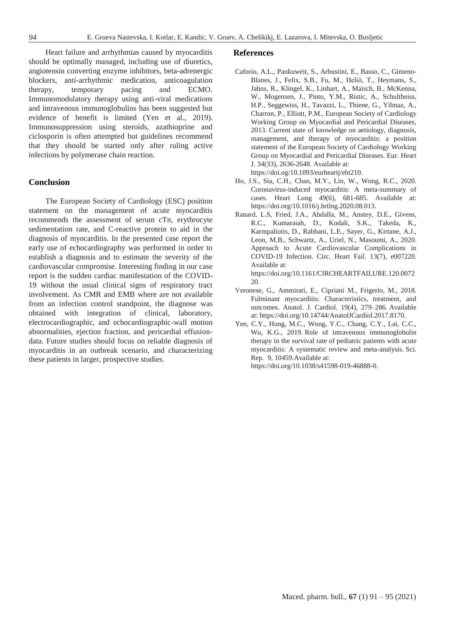Heart failure and arrhythmias caused by myocarditis should be optimally managed, including use of diuretics, angiotensin converting enzyme inhibitors, beta-adrenergic blockers, anti-arrhythmic medication, anticoagulation therapy, temporary pacing and ECMO. Immunomodulatory therapy using anti-viral medications and intravenous immunoglobulins has been suggested but evidence of benefit is limited (Yen et al., 2019). Immunosuppression using steroids, azathioprine and ciclosporin is often attempted but guidelines recommend that they should be started only after ruling active infections by polymerase chain reaction.

## **Conclusion**

The European Society of Cardiology (ESC) position statement on the management of acute myocarditis recommends the assessment of serum cTn, erythrocyte sedimentation rate, and C-reactive protein to aid in the diagnosis of myocarditis. In the presented case report the early use of echocardiography was performed in order to establish a diagnosis and to estimate the severity of the cardiovascular compromise. Interesting finding in our case report is the sudden cardiac manifestation of the COVID-19 without the usual clinical signs of respiratory tract involvement. As CMR and EMB where are not available from an infection control standpoint, the diagnose was obtained with integration of clinical, laboratory, electrocardiographic, and echocardiographic-wall motion abnormalities, ejection fraction, and pericardial effusiondata. Future studies should focus on reliable diagnosis of myocarditis in an outbreak scenario, and characterizing these patients in larger, prospective studies.

### **References**

[20.](https://doi.org/10.1161/CIRCHEARTFAILURE.120.007220) 

- Caforio, A.L., Pankuweit, S., Arbustini, E., Basso, C., Gimeno-Blanes, J., Felix, S.B., Fu, M., Heliö, T., Heymans, S., Jahns, R., Klingel, K., Linhart, A., Maisch, B., McKenna, W., Mogensen, J., Pinto, Y.M., Ristic, A., Schultheiss, H.P., Seggewiss, H., Tavazzi, L., Thiene, G., Yilmaz, A., Charron, P., Elliott, P.M., European Society of Cardiology Working Group on Myocardial and Pericardial Diseases, 2013. Current state of knowledge on aetiology, diagnosis, management, and therapy of myocarditis: a position statement of the European Society of Cardiology Working Group on Myocardial and Pericardial Diseases. Eur. Heart J. 34(33), 2636-2648. Available at: [https://doi.og/10.1093/eurheartj/eht210.](https://doi.og/10.1093/eurheartj/eht210)
- Ho, J.S., Sia, C.H., Chan, M.Y., Lin, W., Wong, R.C., 2020. Coronavirus-induced myocarditis: A meta-summary of cases. Heart Lung 49(6), 681-685. Available at: [https://doi.org/10.1016/j.hrtlng.2020.08.013.](https://doi.org/10.1016/j.hrtlng.2020.08.013)
- Ranard, L.S, Fried, J.A., Abdalla, M., Anstey, D.E., Givens, R.C., Kumaraiah, D., Kodali, S.K., Takeda, K., Karmpaliotis, D., Rabbani, L.E., Sayer, G., Kirtane, A.J., Leon, M.B., Schwartz, A., Uriel, N., Masoumi, A., 2020. Approach to Acute Cardiovascular Complications in COVID-19 Infection. Circ. Heart Fail. 13(7), e007220. Available at: [https://doi.org/10.1161/CIRCHEARTFAILURE.120.0072](https://doi.org/10.1161/CIRCHEARTFAILURE.120.007220)
- Veronese, G., Ammirati, E., Cipriani M., Frigerio, M., 2018. [Fulminant myocarditis: Characteristics, treatment, and](https://www.ncbi.nlm.nih.gov/pmc/articles/PMC5998855/)  [outcomes.](https://www.ncbi.nlm.nih.gov/pmc/articles/PMC5998855/) Anatol. J. Cardiol. 19(4), 279–286. Available at: [https://doi.org/10.14744/AnatolJCardiol.2017.8170.](https://doi.org/10.14744/AnatolJCardiol.2017.8170)
- Yen, C.Y., Hung, M.C., Wong, Y.C., Chang, C.Y., Lai, C.C., Wu, K.G., 2019. Role of intravenous immunoglobulin therapy in the survival rate of pediatric patients with acute myocarditis: A systematic review and meta-analysis. Sci. Rep. 9, 10459.Available at: [https://doi.org/10.1038/s41598-019-46888-0.](https://doi.org/10.1038/s41598-019-46888-0)